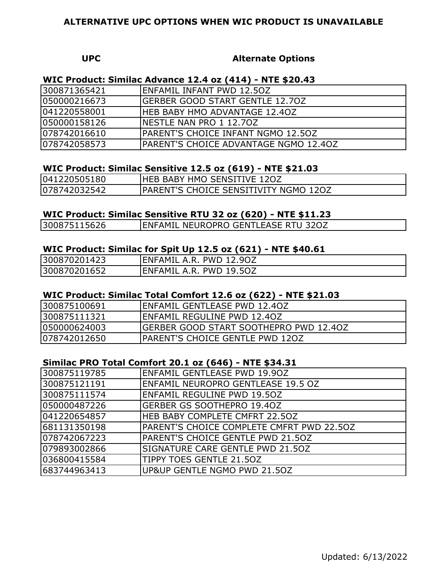#### **UPC Alternate Options**

## **WIC Product: Similac Advance 12.4 oz (414) - NTE \$20.43**

| 300871365421 | IENFAMIL INFANT PWD 12.5OZ                    |
|--------------|-----------------------------------------------|
| 050000216673 | <b>IGERBER GOOD START GENTLE 12.70Z</b>       |
| 041220558001 | <b>IHEB BABY HMO ADVANTAGE 12.40Z</b>         |
| 050000158126 | INESTLE NAN PRO 1 12.70Z                      |
| 078742016610 | IPARENT'S CHOICE INFANT NGMO 12.50Z           |
| 078742058573 | <b>IPARENT'S CHOICE ADVANTAGE NGMO 12.40Z</b> |

# **WIC Product: Similac Sensitive 12.5 oz (619) - NTE \$21.03**

| 041220505180 | <b>IHEB BABY HMO SENSITIVE 120Z</b>           |
|--------------|-----------------------------------------------|
| 078742032542 | <b>IPARENT'S CHOICE SENSITIVITY NGMO 120Z</b> |

## **WIC Product: Similac Sensitive RTU 32 oz (620) - NTE \$11.23**

| 300875115626 | <b>ENFAMIL NEUROPRO GENTLEASE RTU 320Z</b> |
|--------------|--------------------------------------------|
|              |                                            |

## **WIC Product: Similac for Spit Up 12.5 oz (621) - NTE \$40.61**

| 300870201423 | ENFAMIL A.R. PWD 12.9OZ  |  |
|--------------|--------------------------|--|
| 300870201652 | IENFAMIL A.R. PWD 19.5OZ |  |

# **WIC Product: Similac Total Comfort 12.6 oz (622) - NTE \$21.03**

| 300875100691 | IENFAMIL GENTLEASE PWD 12.4OZ           |
|--------------|-----------------------------------------|
| 300875111321 | IENFAMIL REGULINE PWD 12.4OZ            |
| 050000624003 | IGERBER GOOD START SOOTHEPRO PWD 12.40Z |
| 078742012650 | IPARENT'S CHOICE GENTLE PWD 120Z        |

# **Similac PRO Total Comfort 20.1 oz (646) - NTE \$34.31**

| 300875119785 | <b>ENFAMIL GENTLEASE PWD 19.90Z</b>       |
|--------------|-------------------------------------------|
| 300875121191 | <b>ENFAMIL NEUROPRO GENTLEASE 19.5 OZ</b> |
| 300875111574 | <b>ENFAMIL REGULINE PWD 19.50Z</b>        |
| 050000487226 | lgerber GS Soothepro 19.40Z               |
| 041220654857 | <b>HEB BABY COMPLETE CMFRT 22.50Z</b>     |
| 681131350198 | PARENT'S CHOICE COMPLETE CMFRT PWD 22.50Z |
| 078742067223 | PARENT'S CHOICE GENTLE PWD 21.50Z         |
| 079893002866 | SIGNATURE CARE GENTLE PWD 21.50Z          |
| 036800415584 | TIPPY TOES GENTLE 21.50Z                  |
| 683744963413 | UP&UP GENTLE NGMO PWD 21.50Z              |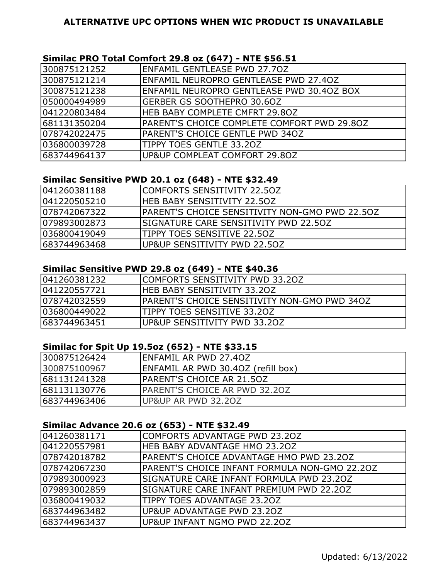## **Similac PRO Total Comfort 29.8 oz (647) - NTE \$56.51**

| 300875121252  | IENFAMIL GENTLEASE PWD 27.7OZ               |
|---------------|---------------------------------------------|
| 300875121214  | ENFAMIL NEUROPRO GENTLEASE PWD 27.40Z       |
| 300875121238  | ENFAMIL NEUROPRO GENTLEASE PWD 30.4OZ BOX   |
| 050000494989  | <b>GERBER GS SOOTHEPRO 30.6OZ</b>           |
| 041220803484  | <b>IHEB BABY COMPLETE CMFRT 29.80Z</b>      |
| 681131350204  | PARENT'S CHOICE COMPLETE COMFORT PWD 29.80Z |
| 1078742022475 | PARENT'S CHOICE GENTLE PWD 340Z             |
| 036800039728  | TIPPY TOES GENTLE 33.2OZ                    |
| 683744964137  | UP&UP COMPLEAT COMFORT 29.80Z               |

# **Similac Sensitive PWD 20.1 oz (648) - NTE \$32.49**

| 041260381188  | <b>ICOMFORTS SENSITIVITY 22.50Z</b>                    |
|---------------|--------------------------------------------------------|
| 041220505210  | IHEB BABY SENSITIVITY 22.50Z                           |
| 1078742067322 | <b>IPARENT'S CHOICE SENSITIVITY NON-GMO PWD 22.50Z</b> |
| 1079893002873 | ISIGNATURE CARE SENSITIVITY PWD 22.50Z                 |
| 036800419049  | ITIPPY TOES SENSITIVE 22.50Z                           |
| 683744963468  | IUP&UP SENSITIVITY PWD 22.5OZ                          |

## **Similac Sensitive PWD 29.8 oz (649) - NTE \$40.36**

| 1041260381232 | ICOMFORTS SENSITIVITY PWD 33.20Z                     |
|---------------|------------------------------------------------------|
| 1041220557721 | <b>HEB BABY SENSITIVITY 33.20Z</b>                   |
| 078742032559  | <b>IPARENT'S CHOICE SENSITIVITY NON-GMO PWD 340Z</b> |
| 036800449022  | <b>ITIPPY TOES SENSITIVE 33.20Z</b>                  |
| 683744963451  | <b>IUP&amp;UP SENSITIVITY PWD 33.20Z</b>             |

# **Similac for Spit Up 19.5oz (652) - NTE \$33.15**

| 300875126424 | <b>IENFAMIL AR PWD 27.40Z</b>         |
|--------------|---------------------------------------|
| 300875100967 | ENFAMIL AR PWD 30.40Z (refill box)    |
| 681131241328 | <b>IPARENT'S CHOICE AR 21.50Z</b>     |
| 681131130776 | <b>IPARENT'S CHOICE AR PWD 32.20Z</b> |
| 683744963406 | UP&UP AR PWD 32.20Z                   |

## **Similac Advance 20.6 oz (653) - NTE \$32.49**

| 041260381171  | COMFORTS ADVANTAGE PWD 23.20Z                   |
|---------------|-------------------------------------------------|
| 041220557981  | <b>HEB BABY ADVANTAGE HMO 23.20Z</b>            |
| 1078742018782 | PARENT'S CHOICE ADVANTAGE HMO PWD 23.20Z        |
| 1078742067230 | PARENT'S CHOICE INFANT FORMULA NON-GMO 22.20Z   |
| 079893000923  | <b>SIGNATURE CARE INFANT FORMULA PWD 23.20Z</b> |
| 079893002859  | ISIGNATURE CARE INFANT PREMIUM PWD 22.20Z       |
| 036800419032  | TIPPY TOES ADVANTAGE 23.20Z                     |
| 683744963482  | <b>IUP&amp;UP ADVANTAGE PWD 23.20Z</b>          |
| 683744963437  | UP&UP INFANT NGMO PWD 22.20Z                    |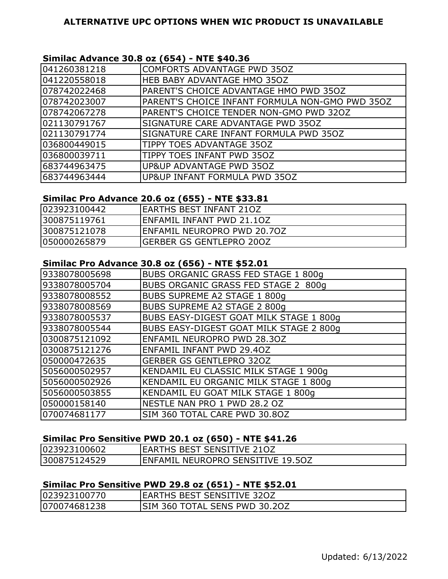# **Similac Advance 30.8 oz (654) - NTE \$40.36**

| 041260381218 | COMFORTS ADVANTAGE PWD 350Z                     |
|--------------|-------------------------------------------------|
| 041220558018 | HEB BABY ADVANTAGE HMO 35OZ                     |
| 078742022468 | PARENT'S CHOICE ADVANTAGE HMO PWD 350Z          |
| 078742023007 | PARENT'S CHOICE INFANT FORMULA NON-GMO PWD 350Z |
| 078742067278 | PARENT'S CHOICE TENDER NON-GMO PWD 320Z         |
| 021130791767 | SIGNATURE CARE ADVANTAGE PWD 350Z               |
| 021130791774 | SIGNATURE CARE INFANT FORMULA PWD 350Z          |
| 036800449015 | TIPPY TOES ADVANTAGE 350Z                       |
| 036800039711 | TIPPY TOES INFANT PWD 350Z                      |
| 683744963475 | UP&UP ADVANTAGE PWD 35OZ                        |
| 683744963444 | UP&UP INFANT FORMULA PWD 350Z                   |

# **Similac Pro Advance 20.6 oz (655) - NTE \$33.81**

| 023923100442 | IEARTHS BEST INFANT 210Z        |
|--------------|---------------------------------|
| 300875119761 | IENFAMIL INFANT PWD 21.1OZ      |
| 300875121078 | ENFAMIL NEUROPRO PWD 20.70Z     |
| 050000265879 | <b>GERBER GS GENTLEPRO 200Z</b> |

# **Similac Pro Advance 30.8 oz (656) - NTE \$52.01**

| 9338078005698 | <b>BUBS ORGANIC GRASS FED STAGE 1 800g</b>     |
|---------------|------------------------------------------------|
| 9338078005704 | BUBS ORGANIC GRASS FED STAGE 2 800g            |
| 9338078008552 | BUBS SUPREME A2 STAGE 1 800g                   |
| 9338078008569 | BUBS SUPREME A2 STAGE 2 800g                   |
| 9338078005537 | BUBS EASY-DIGEST GOAT MILK STAGE 1 800g        |
| 9338078005544 | <b>BUBS EASY-DIGEST GOAT MILK STAGE 2 800g</b> |
| 0300875121092 | ENFAMIL NEUROPRO PWD 28.30Z                    |
| 0300875121276 | ENFAMIL INFANT PWD 29.40Z                      |
| 050000472635  | <b>GERBER GS GENTLEPRO 320Z</b>                |
| 5056000502957 | KENDAMIL EU CLASSIC MILK STAGE 1 900g          |
| 5056000502926 | KENDAMIL EU ORGANIC MILK STAGE 1 800g          |
| 5056000503855 | KENDAMIL EU GOAT MILK STAGE 1 800g             |
| 050000158140  | NESTLE NAN PRO 1 PWD 28.2 OZ                   |
| 070074681177  | SIM 360 TOTAL CARE PWD 30.8OZ                  |

# **Similac Pro Sensitive PWD 20.1 oz (650) - NTE \$41.26**

| 023923100602 | <b>IEARTHS BEST SENSITIVE 210Z</b>        |
|--------------|-------------------------------------------|
| 300875124529 | <b>IENFAMIL NEUROPRO SENSITIVE 19.50Z</b> |

# **Similac Pro Sensitive PWD 29.8 oz (651) - NTE \$52.01**

| 023923100770  | <b>IEARTHS BEST SENSITIVE 320Z</b> |
|---------------|------------------------------------|
| 1070074681238 | ISIM 360 TOTAL SENS PWD 30.2OZ     |